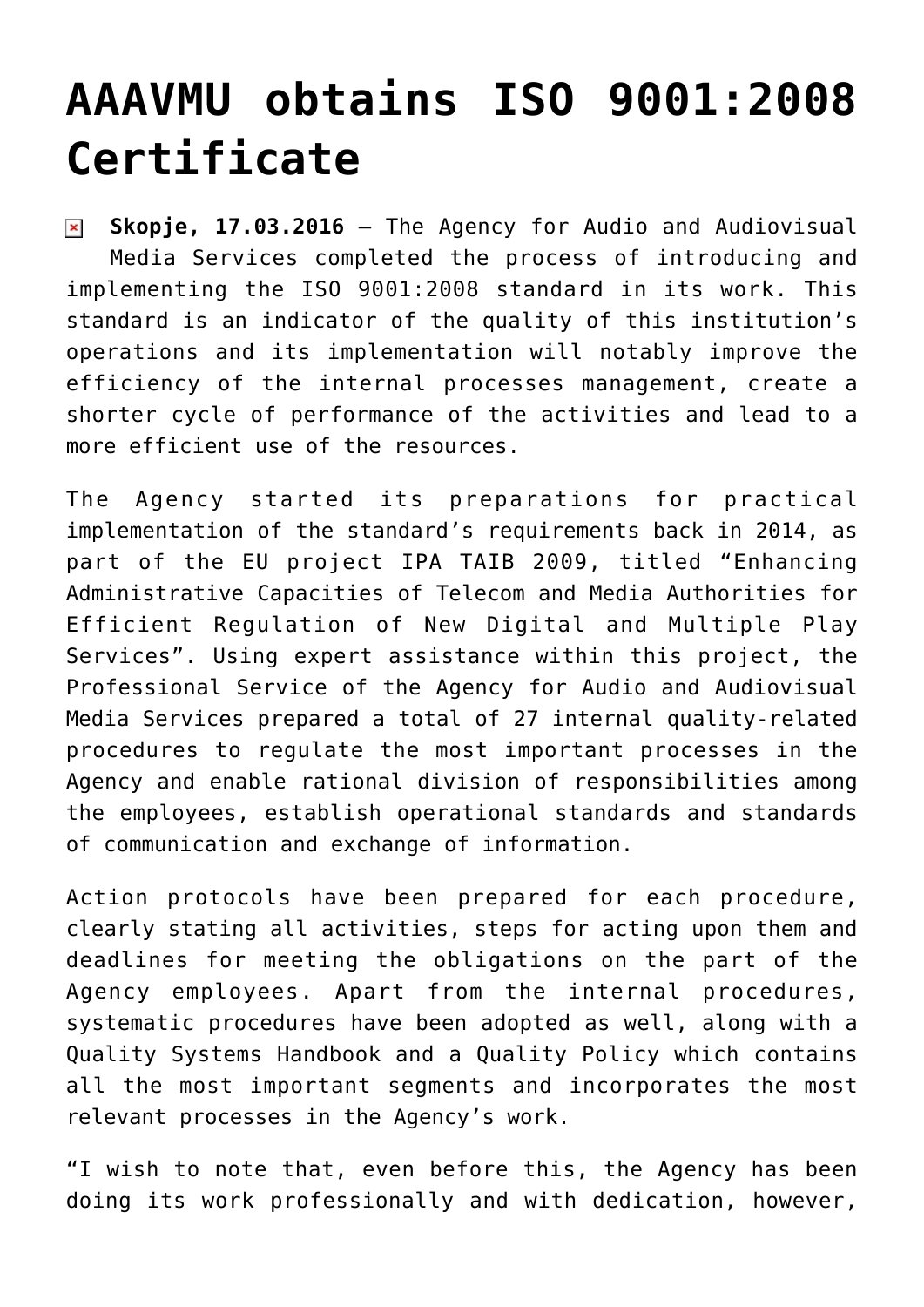## **[AAAVMU obtains ISO 9001:2008](https://avmu.mk/en/2016/03/17/aaavmu-obtains-iso-90012008-certificate/) [Certificate](https://avmu.mk/en/2016/03/17/aaavmu-obtains-iso-90012008-certificate/)**

**Skopje, 17.03.2016** – The Agency for Audio and Audiovisual  $\pmb{\times}$ Media Services completed the process of introducing and implementing the ISO 9001:2008 standard in its work. This standard is an indicator of the quality of this institution's operations and its implementation will notably improve the efficiency of the internal processes management, create a shorter cycle of performance of the activities and lead to a more efficient use of the resources.

The Agency started its preparations for practical implementation of the standard's requirements back in 2014, as part of the EU project IPA TAIB 2009, titled "Enhancing Administrative Capacities of Telecom and Media Authorities for Efficient Regulation of New Digital and Multiple Play Services". Using expert assistance within this project, the Professional Service of the Agency for Audio and Audiovisual Media Services prepared a total of 27 internal quality-related procedures to regulate the most important processes in the Agency and enable rational division of responsibilities among the employees, establish operational standards and standards of communication and exchange of information.

Action protocols have been prepared for each procedure, clearly stating all activities, steps for acting upon them and deadlines for meeting the obligations on the part of the Agency employees. Apart from the internal procedures, systematic procedures have been adopted as well, along with a Quality Systems Handbook and a Quality Policy which contains all the most important segments and incorporates the most relevant processes in the Agency's work.

"I wish to note that, even before this, the Agency has been doing its work professionally and with dedication, however,